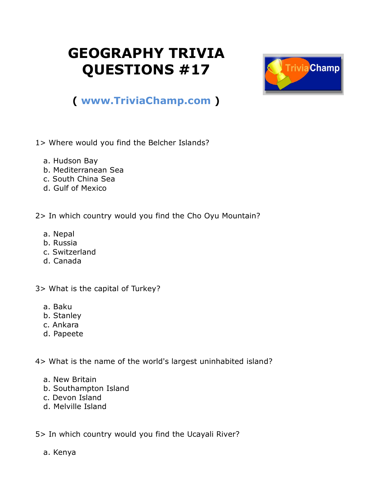## **GEOGRAPHY TRIVIA QUESTIONS #17**



## **( [www.TriviaChamp.com](http://www.triviachamp.com/) )**

- 1> Where would you find the Belcher Islands?
	- a. Hudson Bay
	- b. Mediterranean Sea
	- c. South China Sea
	- d. Gulf of Mexico

2> In which country would you find the Cho Oyu Mountain?

- a. Nepal
- b. Russia
- c. Switzerland
- d. Canada

3> What is the capital of Turkey?

- a. Baku
- b. Stanley
- c. Ankara
- d. Papeete

4> What is the name of the world's largest uninhabited island?

- a. New Britain
- b. Southampton Island
- c. Devon Island
- d. Melville Island

5> In which country would you find the Ucayali River?

a. Kenya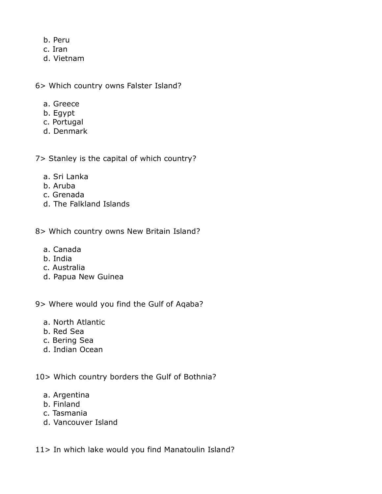- b. Peru
- c. Iran
- d. Vietnam

6> Which country owns Falster Island?

- a. Greece
- b. Egypt
- c. Portugal
- d. Denmark

7> Stanley is the capital of which country?

- a. Sri Lanka
- b. Aruba
- c. Grenada
- d. The Falkland Islands

8> Which country owns New Britain Island?

- a. Canada
- b. India
- c. Australia
- d. Papua New Guinea

9> Where would you find the Gulf of Aqaba?

- a. North Atlantic
- b. Red Sea
- c. Bering Sea
- d. Indian Ocean

10> Which country borders the Gulf of Bothnia?

- a. Argentina
- b. Finland
- c. Tasmania
- d. Vancouver Island

11> In which lake would you find Manatoulin Island?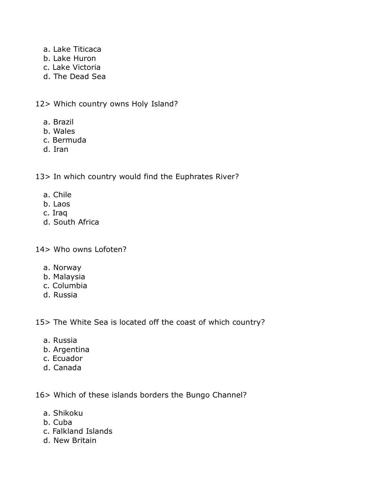- a. Lake Titicaca
- b. Lake Huron
- c. Lake Victoria
- d. The Dead Sea

12> Which country owns Holy Island?

- a. Brazil
- b. Wales
- c. Bermuda
- d. Iran

13> In which country would find the Euphrates River?

- a. Chile
- b. Laos
- c. Iraq
- d. South Africa

14> Who owns Lofoten?

- a. Norway
- b. Malaysia
- c. Columbia
- d. Russia

15> The White Sea is located off the coast of which country?

- a. Russia
- b. Argentina
- c. Ecuador
- d. Canada

16> Which of these islands borders the Bungo Channel?

- a. Shikoku
- b. Cuba
- c. Falkland Islands
- d. New Britain